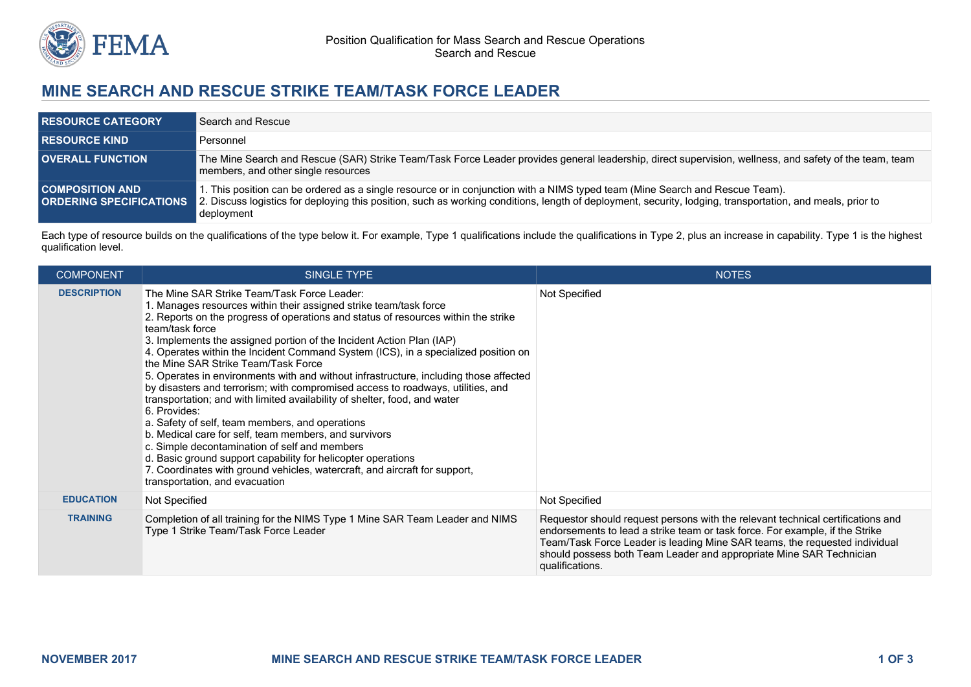

## **MINE SEARCH AND RESCUE STRIKE TEAM/TASK FORCE LEADER**

| <b>RESOURCE CATEGORY</b> | Search and Rescue                                                                                                                                                                                                                                                                                                                |
|--------------------------|----------------------------------------------------------------------------------------------------------------------------------------------------------------------------------------------------------------------------------------------------------------------------------------------------------------------------------|
| <b>RESOURCE KIND.</b>    | Personnel                                                                                                                                                                                                                                                                                                                        |
| <b>OVERALL FUNCTION</b>  | The Mine Search and Rescue (SAR) Strike Team/Task Force Leader provides general leadership, direct supervision, wellness, and safety of the team, team<br>members, and other single resources                                                                                                                                    |
| <b>COMPOSITION AND</b>   | I. This position can be ordered as a single resource or in conjunction with a NIMS typed team (Mine Search and Rescue Team).<br>ORDERING SPECIFICATIONS 2. Discuss logistics for deploying this position, such as working conditions, length of deployment, security, lodging, transportation, and meals, prior to<br>deployment |

Each type of resource builds on the qualifications of the type below it. For example, Type 1 qualifications include the qualifications in Type 2, plus an increase in capability. Type 1 is the highest qualification level.

| <b>COMPONENT</b>   | SINGLE TYPE                                                                                                                                                                                                                                                                                                                                                                                                                                                                                                                                                                                                                                                                                                                                                                                                                                                                                                                                                                                                                                          | <b>NOTES</b>                                                                                                                                                                                                                                                                                                                            |
|--------------------|------------------------------------------------------------------------------------------------------------------------------------------------------------------------------------------------------------------------------------------------------------------------------------------------------------------------------------------------------------------------------------------------------------------------------------------------------------------------------------------------------------------------------------------------------------------------------------------------------------------------------------------------------------------------------------------------------------------------------------------------------------------------------------------------------------------------------------------------------------------------------------------------------------------------------------------------------------------------------------------------------------------------------------------------------|-----------------------------------------------------------------------------------------------------------------------------------------------------------------------------------------------------------------------------------------------------------------------------------------------------------------------------------------|
| <b>DESCRIPTION</b> | The Mine SAR Strike Team/Task Force Leader:<br>1. Manages resources within their assigned strike team/task force<br>2. Reports on the progress of operations and status of resources within the strike<br>team/task force<br>3. Implements the assigned portion of the Incident Action Plan (IAP)<br>4. Operates within the Incident Command System (ICS), in a specialized position on<br>the Mine SAR Strike Team/Task Force<br>5. Operates in environments with and without infrastructure, including those affected<br>by disasters and terrorism; with compromised access to roadways, utilities, and<br>transportation; and with limited availability of shelter, food, and water<br>6. Provides:<br>a. Safety of self, team members, and operations<br>b. Medical care for self, team members, and survivors<br>c. Simple decontamination of self and members<br>d. Basic ground support capability for helicopter operations<br>7. Coordinates with ground vehicles, watercraft, and aircraft for support,<br>transportation, and evacuation | Not Specified                                                                                                                                                                                                                                                                                                                           |
| <b>EDUCATION</b>   | Not Specified                                                                                                                                                                                                                                                                                                                                                                                                                                                                                                                                                                                                                                                                                                                                                                                                                                                                                                                                                                                                                                        | Not Specified                                                                                                                                                                                                                                                                                                                           |
| <b>TRAINING</b>    | Completion of all training for the NIMS Type 1 Mine SAR Team Leader and NIMS<br>Type 1 Strike Team/Task Force Leader                                                                                                                                                                                                                                                                                                                                                                                                                                                                                                                                                                                                                                                                                                                                                                                                                                                                                                                                 | Requestor should request persons with the relevant technical certifications and<br>endorsements to lead a strike team or task force. For example, if the Strike<br>Team/Task Force Leader is leading Mine SAR teams, the requested individual<br>should possess both Team Leader and appropriate Mine SAR Technician<br>qualifications. |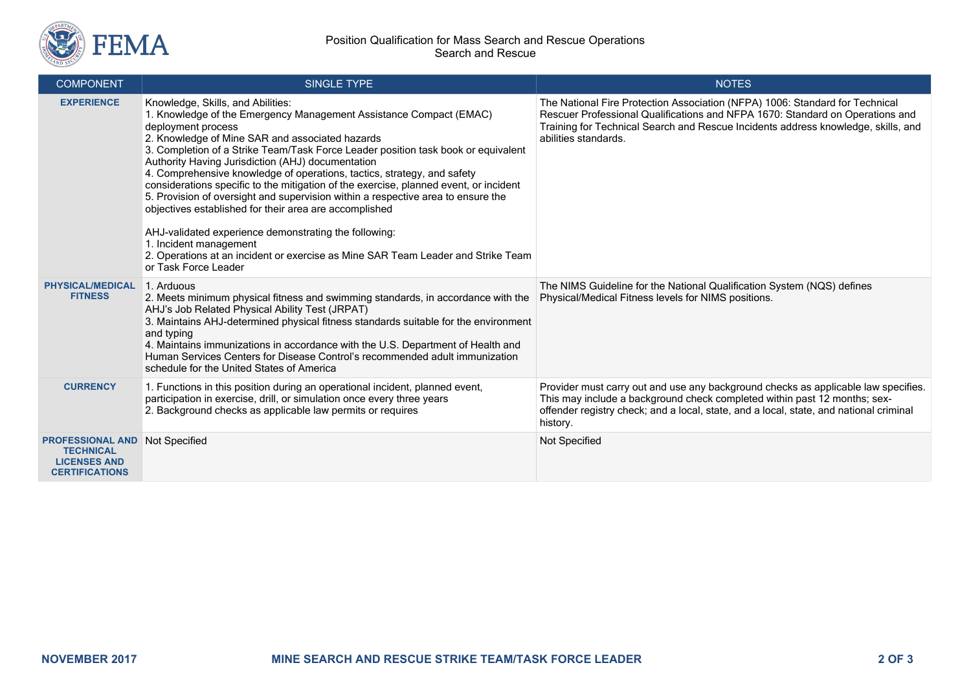

| <b>COMPONENT</b>                                                                            | <b>SINGLE TYPE</b>                                                                                                                                                                                                                                                                                                                                                                                                                                                                                                                                                                                                                                                                                                                                                                                                                          | <b>NOTES</b>                                                                                                                                                                                                                                                               |
|---------------------------------------------------------------------------------------------|---------------------------------------------------------------------------------------------------------------------------------------------------------------------------------------------------------------------------------------------------------------------------------------------------------------------------------------------------------------------------------------------------------------------------------------------------------------------------------------------------------------------------------------------------------------------------------------------------------------------------------------------------------------------------------------------------------------------------------------------------------------------------------------------------------------------------------------------|----------------------------------------------------------------------------------------------------------------------------------------------------------------------------------------------------------------------------------------------------------------------------|
| <b>EXPERIENCE</b>                                                                           | Knowledge, Skills, and Abilities:<br>1. Knowledge of the Emergency Management Assistance Compact (EMAC)<br>deployment process<br>2. Knowledge of Mine SAR and associated hazards<br>3. Completion of a Strike Team/Task Force Leader position task book or equivalent<br>Authority Having Jurisdiction (AHJ) documentation<br>4. Comprehensive knowledge of operations, tactics, strategy, and safety<br>considerations specific to the mitigation of the exercise, planned event, or incident<br>5. Provision of oversight and supervision within a respective area to ensure the<br>objectives established for their area are accomplished<br>AHJ-validated experience demonstrating the following:<br>1. Incident management<br>2. Operations at an incident or exercise as Mine SAR Team Leader and Strike Team<br>or Task Force Leader | The National Fire Protection Association (NFPA) 1006: Standard for Technical<br>Rescuer Professional Qualifications and NFPA 1670: Standard on Operations and<br>Training for Technical Search and Rescue Incidents address knowledge, skills, and<br>abilities standards. |
| <b>PHYSICAL/MEDICAL</b><br><b>FITNESS</b>                                                   | 1. Arduous<br>2. Meets minimum physical fitness and swimming standards, in accordance with the<br>AHJ's Job Related Physical Ability Test (JRPAT)<br>3. Maintains AHJ-determined physical fitness standards suitable for the environment<br>and typing<br>4. Maintains immunizations in accordance with the U.S. Department of Health and<br>Human Services Centers for Disease Control's recommended adult immunization<br>schedule for the United States of America                                                                                                                                                                                                                                                                                                                                                                       | The NIMS Guideline for the National Qualification System (NQS) defines<br>Physical/Medical Fitness levels for NIMS positions.                                                                                                                                              |
| <b>CURRENCY</b>                                                                             | 1. Functions in this position during an operational incident, planned event,<br>participation in exercise, drill, or simulation once every three years<br>2. Background checks as applicable law permits or requires                                                                                                                                                                                                                                                                                                                                                                                                                                                                                                                                                                                                                        | Provider must carry out and use any background checks as applicable law specifies.<br>This may include a background check completed within past 12 months; sex-<br>offender registry check; and a local, state, and a local, state, and national criminal<br>history.      |
| <b>PROFESSIONAL AND</b><br><b>TECHNICAL</b><br><b>LICENSES AND</b><br><b>CERTIFICATIONS</b> | Not Specified                                                                                                                                                                                                                                                                                                                                                                                                                                                                                                                                                                                                                                                                                                                                                                                                                               | Not Specified                                                                                                                                                                                                                                                              |